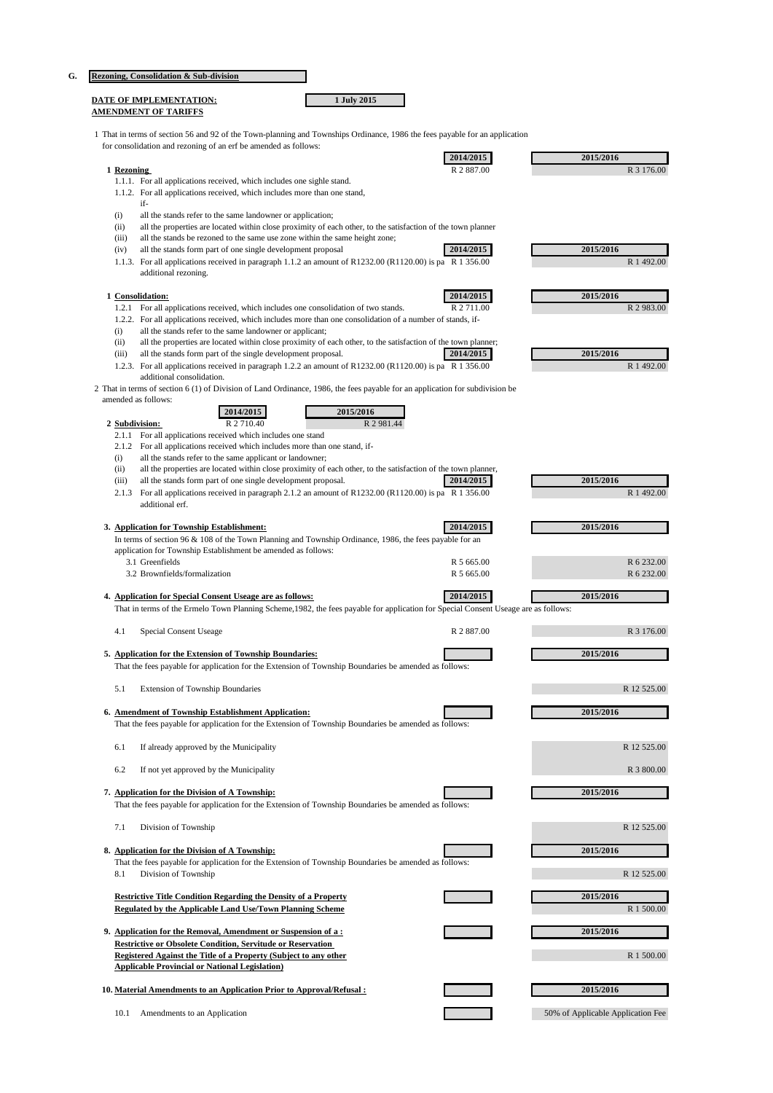|  |  |  | <b>Rezoning, Consolidation &amp; Sub-division</b> |
|--|--|--|---------------------------------------------------|
|--|--|--|---------------------------------------------------|

| DATE OF IMPLEMENTATION:     | 1 July 2015 |
|-----------------------------|-------------|
| <b>AMENDMENT OF TARIFFS</b> |             |

1 That in terms of section 56 and 92 of the Town-planning and Townships Ordinance, 1986 the fees payable for an application for consolidation and rezoning of an erf be amended as follows:

|                |                                                                                                                                                                            | 2014/2015  | 2015/2016   |
|----------------|----------------------------------------------------------------------------------------------------------------------------------------------------------------------------|------------|-------------|
| 1 Rezoning     |                                                                                                                                                                            | R 2 887.00 | R 3 176.00  |
|                | 1.1.1. For all applications received, which includes one sighle stand.                                                                                                     |            |             |
|                | 1.1.2. For all applications received, which includes more than one stand,                                                                                                  |            |             |
|                | if-                                                                                                                                                                        |            |             |
| (i)            |                                                                                                                                                                            |            |             |
|                | all the stands refer to the same landowner or application;<br>all the properties are located within close proximity of each other, to the satisfaction of the town planner |            |             |
| (ii)           |                                                                                                                                                                            |            |             |
| (iii)          | all the stands be rezoned to the same use zone within the same height zone;                                                                                                |            |             |
| (iv)           | all the stands form part of one single development proposal                                                                                                                | 2014/2015  | 2015/2016   |
|                | 1.1.3. For all applications received in paragraph 1.1.2 an amount of R1232.00 (R1120.00) is pa R 1 356.00                                                                  |            | R 1 492.00  |
|                | additional rezoning.                                                                                                                                                       |            |             |
|                |                                                                                                                                                                            |            |             |
|                | 1 Consolidation:                                                                                                                                                           | 2014/2015  | 2015/2016   |
|                | 1.2.1 For all applications received, which includes one consolidation of two stands.                                                                                       | R 2 711.00 | R 2 983.00  |
|                | 1.2.2. For all applications received, which includes more than one consolidation of a number of stands, if-                                                                |            |             |
| (i)            | all the stands refer to the same landowner or applicant;                                                                                                                   |            |             |
| (ii)           | all the properties are located within close proximity of each other, to the satisfaction of the town planner;                                                              |            |             |
| (iii)          | all the stands form part of the single development proposal.                                                                                                               | 2014/2015  | 2015/2016   |
|                | 1.2.3. For all applications received in paragraph 1.2.2 an amount of R1232.00 (R1120.00) is pa R 1 356.00                                                                  |            | R 1 492.00  |
|                | additional consolidation.                                                                                                                                                  |            |             |
|                | 2 That in terms of section 6 (1) of Division of Land Ordinance, 1986, the fees payable for an application for subdivision be                                               |            |             |
|                | amended as follows:                                                                                                                                                        |            |             |
|                | 2014/2015<br>2015/2016                                                                                                                                                     |            |             |
| 2 Subdivision: | R 2 710.40                                                                                                                                                                 |            |             |
|                | R 2 981.44                                                                                                                                                                 |            |             |
| 2.1.1          | For all applications received which includes one stand                                                                                                                     |            |             |
|                | 2.1.2 For all applications received which includes more than one stand, if-                                                                                                |            |             |
| (i)            | all the stands refer to the same applicant or landowner;                                                                                                                   |            |             |
| (ii)           | all the properties are located within close proximity of each other, to the satisfaction of the town planner,                                                              |            |             |
| (iii)          | all the stands form part of one single development proposal.                                                                                                               | 2014/2015  | 2015/2016   |
|                | 2.1.3 For all applications received in paragraph 2.1.2 an amount of R1232.00 (R1120.00) is pa R 1 356.00                                                                   |            | R 1 492.00  |
|                | additional erf.                                                                                                                                                            |            |             |
|                |                                                                                                                                                                            |            |             |
|                | 3. Application for Township Establishment:                                                                                                                                 | 2014/2015  | 2015/2016   |
|                | In terms of section 96 & 108 of the Town Planning and Township Ordinance, 1986, the fees payable for an                                                                    |            |             |
|                | application for Township Establishment be amended as follows:                                                                                                              |            |             |
|                | 3.1 Greenfields                                                                                                                                                            | R 5 665.00 | R 6 232.00  |
|                | 3.2 Brownfields/formalization                                                                                                                                              | R 5 665.00 | R 6 232.00  |
|                |                                                                                                                                                                            |            |             |
|                |                                                                                                                                                                            |            |             |
|                | 4. Application for Special Consent Useage are as follows:                                                                                                                  | 2014/2015  | 2015/2016   |
|                |                                                                                                                                                                            |            |             |
|                | That in terms of the Ermelo Town Planning Scheme, 1982, the fees payable for application for Special Consent Useage are as follows:                                        |            |             |
| 4.1            |                                                                                                                                                                            | R 2 887.00 | R 3 176.00  |
|                | Special Consent Useage                                                                                                                                                     |            |             |
|                | 5. Application for the Extension of Township Boundaries:                                                                                                                   |            | 2015/2016   |
|                |                                                                                                                                                                            |            |             |
|                | That the fees payable for application for the Extension of Township Boundaries be amended as follows:                                                                      |            |             |
|                |                                                                                                                                                                            |            |             |
| 5.1            | <b>Extension of Township Boundaries</b>                                                                                                                                    |            | R 12 525.00 |
|                |                                                                                                                                                                            |            |             |
|                | 6. Amendment of Township Establishment Application:                                                                                                                        |            | 2015/2016   |
|                | That the fees payable for application for the Extension of Township Boundaries be amended as follows:                                                                      |            |             |
|                |                                                                                                                                                                            |            |             |
| 6.1            | If already approved by the Municipality                                                                                                                                    |            | R 12 525.00 |
|                |                                                                                                                                                                            |            |             |
| 6.2            | If not yet approved by the Municipality                                                                                                                                    |            | R 3 800.00  |
|                |                                                                                                                                                                            |            |             |
|                | 7. Application for the Division of A Township:                                                                                                                             |            | 2015/2016   |
|                | That the fees payable for application for the Extension of Township Boundaries be amended as follows:                                                                      |            |             |
|                |                                                                                                                                                                            |            |             |
| 7.1            | Division of Township                                                                                                                                                       |            | R 12 525.00 |
|                |                                                                                                                                                                            |            |             |
|                | 8. Application for the Division of A Township:                                                                                                                             |            | 2015/2016   |
|                | That the fees payable for application for the Extension of Township Boundaries be amended as follows:                                                                      |            |             |
| 8.1            | Division of Township                                                                                                                                                       |            | R 12 525.00 |
|                |                                                                                                                                                                            |            |             |
|                | <b>Restrictive Title Condition Regarding the Density of a Property</b>                                                                                                     |            | 2015/2016   |
|                | Regulated by the Applicable Land Use/Town Planning Scheme                                                                                                                  |            | R 1 500.00  |
|                |                                                                                                                                                                            |            |             |
|                | 9. Application for the Removal, Amendment or Suspension of a:                                                                                                              |            | 2015/2016   |
|                | <b>Restrictive or Obsolete Condition, Servitude or Reservation</b>                                                                                                         |            |             |
|                | Registered Against the Title of a Property (Subject to any other                                                                                                           |            | R 1 500.00  |
|                | <b>Applicable Provincial or National Legislation</b> )                                                                                                                     |            |             |
|                |                                                                                                                                                                            |            |             |
|                | 10. Material Amendments to an Application Prior to Approval/Refusal :                                                                                                      |            | 2015/2016   |
|                |                                                                                                                                                                            |            |             |